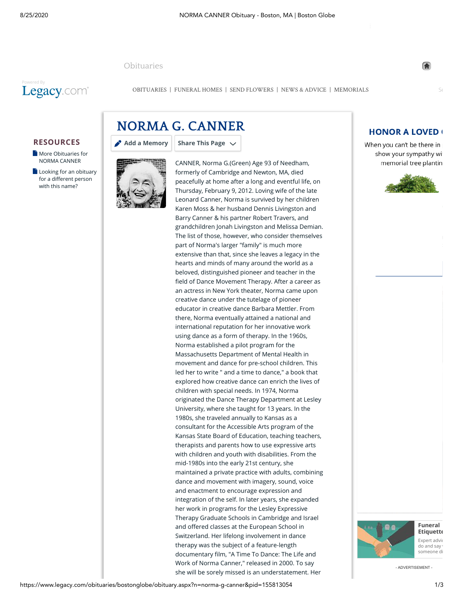[Obituaries](https://www.legacy.com/obituaries/bostonglobe/)



[OBITUARIES](http://www.legacy.com/obituaries/bostonglobe) | [FUNERAL HOMES](https://www.legacy.com/funeral-homes/directory/?affiliateId=1232) | [SEND FLOWERS](https://sympathy.legacy.com/funeral-flowers/NORMA-G-CANNER-funeral-flowers/p155813054/?affiliateid=1232) | [NEWS & ADVICE](http://www.legacy.com/category/news/celebrity-deaths/) | [MEMORIALS](http://www.legacy.com/ns/memorial-sites/)

## **RESOURCES**

- **[More Obituaries for](https://www.legacy.com/obituaries/name/norma-canner-obituary?pid=155809974&affiliateid=1232)** NORMA CANNER
- $\Box$  [Looking for an obituary](https://www.legacy.com/obituaries/name/by/canner/norma) for a different person with this name?





CANNER, Norma G.(Green) Age 93 of Needham, formerly of Cambridge and Newton, MA, died peacefully at home after a long and eventful life, on Thursday, February 9, 2012. Loving wife of the late Leonard Canner, Norma is survived by her children Karen Moss & her husband Dennis Livingston and Barry Canner & his partner Robert Travers, and grandchildren Jonah Livingston and Melissa Demian. The list of those, however, who consider themselves part of Norma's larger "family" is much more extensive than that, since she leaves a legacy in the hearts and minds of many around the world as a beloved, distinguished pioneer and teacher in the field of Dance Movement Therapy. After a career as an actress in New York theater, Norma came upon creative dance under the tutelage of pioneer educator in creative dance Barbara Mettler. From there, Norma eventually attained a national and international reputation for her innovative work using dance as a form of therapy. In the 1960s, Norma established a pilot program for the Massachusetts Department of Mental Health in movement and dance for pre-school children. This led her to write " and a time to dance," a book that explored how creative dance can enrich the lives of children with special needs. In 1974, Norma originated the Dance Therapy Department at Lesley University, where she taught for 13 years. In the 1980s, she traveled annually to Kansas as a consultant for the Accessible Arts program of the Kansas State Board of Education, teaching teachers, therapists and parents how to use expressive arts with children and youth with disabilities. From the mid-1980s into the early 21st century, she maintained a private practice with adults, combining dance and movement with imagery, sound, voice and enactment to encourage expression and integration of the self. In later years, she expanded her work in programs for the Lesley Expressive Therapy Graduate Schools in Cambridge and Israel and offered classes at the European School in Switzerland. Her lifelong involvement in dance therapy was the subject of a feature-length documentary film, "A Time To Dance: The Life and Work of Norma Canner," released in 2000. To say she will be sorely missed is an understatement. Her

## **HONOR A LOVED (**

When you can't be there in show your sympathy wit memorial tree plantin





**Funeral [Etiquette](http://www.legacy.com/news/advice-and-support/article/funeral-etiquette)** Expert advic  $\overline{d}$  and say someone di

- ADVERTISEMENT -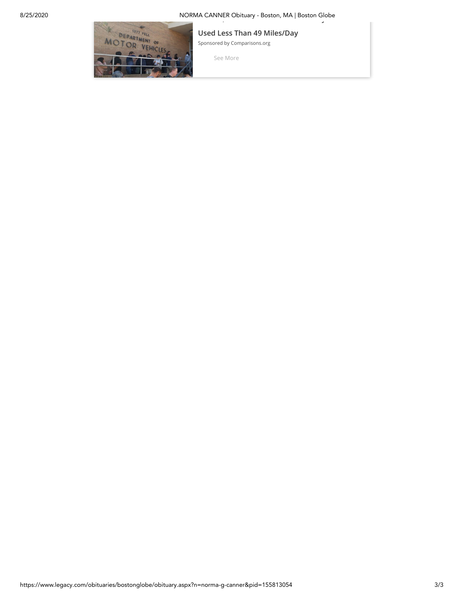# 8/25/2020 NORMA CANNER Obituary - Boston, MA | Boston Globe **, y**



**[Used Less Than 49 Miles/Day](https://eb2.3lift.com/pass?tl_clickthrough=true&redir=https%3A%2F%2Frtb-use.mfadsrvr.com%2Fclick%2FPuwGyPCyp8RxIOiJ56RCEJRiHQ077WgMz-XG7ZAEG8d0HvQEYGVzz9PQojOaA5zI0JdlPMQnZDzJhM9QvlJw5AGV8b3P0ot62Pu0KqLQnHLVTESs6t3FIqQORrQdcbRnKwbnyffuMqVyRM3z_P7ekrG4MiEq5UpjocA9ZeAftiqJsecTaypnpJOzmgdViyJZKeUZDkGL5JsLQhe2oSw7X4epQjvidbMg3PhKtxPX-RdRsUK4VoqLwNcPMlLjmfpzILvH0UIcJ3HItsASlP6BwS_3wwxNmufnirHxOQpx4joAwJ6yJyU53qzdM_-YurE%2F%2F%2F&tluid=1213586316747466058&bc=0.366&uid=1213586316747466058&pr=0.293&brid=421062&bmid=4945&biid=4945&aid=183191648317239915274&bcud=366&sid=84215&ts=1598401411&cb=67026)**

[Sponsored by Comparisons.org](https://eb2.3lift.com/pass?tl_clickthrough=true&redir=https%3A%2F%2Frtb-use.mfadsrvr.com%2Fclick%2FPuwGyPCyp8RxIOiJ56RCEJRiHQ077WgMz-XG7ZAEG8d0HvQEYGVzz9PQojOaA5zI0JdlPMQnZDzJhM9QvlJw5AGV8b3P0ot62Pu0KqLQnHLVTESs6t3FIqQORrQdcbRnKwbnyffuMqVyRM3z_P7ekrG4MiEq5UpjocA9ZeAftiqJsecTaypnpJOzmgdViyJZKeUZDkGL5JsLQhe2oSw7X4epQjvidbMg3PhKtxPX-RdRsUK4VoqLwNcPMlLjmfpzILvH0UIcJ3HItsASlP6BwS_3wwxNmufnirHxOQpx4joAwJ6yJyU53qzdM_-YurE%2F%2F%2F&tluid=1213586316747466058&bc=0.366&uid=1213586316747466058&pr=0.293&brid=421062&bmid=4945&biid=4945&aid=183191648317239915274&bcud=366&sid=84215&ts=1598401411&cb=67026)

[See More](https://eb2.3lift.com/pass?tl_clickthrough=true&redir=https%3A%2F%2Frtb-use.mfadsrvr.com%2Fclick%2FPuwGyPCyp8RxIOiJ56RCEJRiHQ077WgMz-XG7ZAEG8d0HvQEYGVzz9PQojOaA5zI0JdlPMQnZDzJhM9QvlJw5AGV8b3P0ot62Pu0KqLQnHLVTESs6t3FIqQORrQdcbRnKwbnyffuMqVyRM3z_P7ekrG4MiEq5UpjocA9ZeAftiqJsecTaypnpJOzmgdViyJZKeUZDkGL5JsLQhe2oSw7X4epQjvidbMg3PhKtxPX-RdRsUK4VoqLwNcPMlLjmfpzILvH0UIcJ3HItsASlP6BwS_3wwxNmufnirHxOQpx4joAwJ6yJyU53qzdM_-YurE%2F%2F%2F&tluid=1213586316747466058&bc=0.366&uid=1213586316747466058&pr=0.293&brid=421062&bmid=4945&biid=4945&aid=183191648317239915274&bcud=366&sid=84215&ts=1598401411&cb=67026)